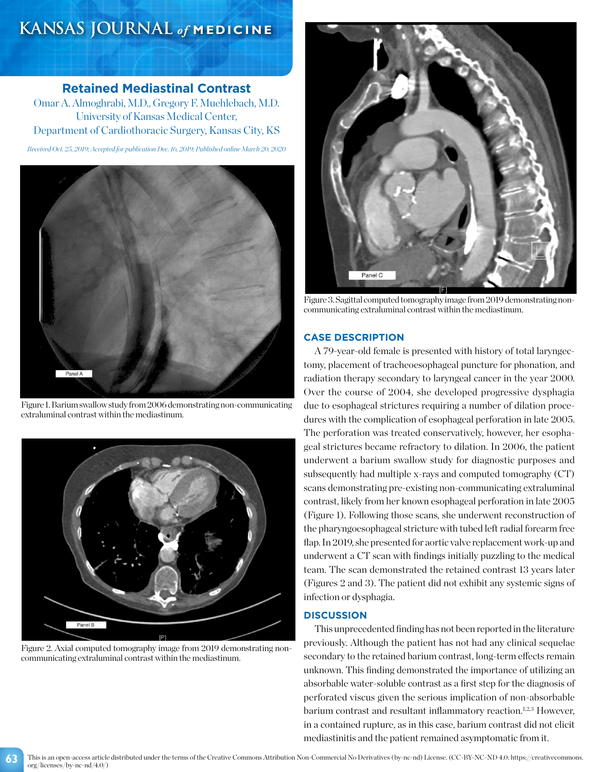# **KANSAS JOURNAL** *of* **MEDICINE**

## **Retained Mediastinal Contrast**

Omar A. Almoghrabi, M.D., Gregory F. Muehlebach, M.D. University of Kansas Medical Center, Department of Cardiothoracic Surgery, Kansas City, KS

*Received Oct. 25, 2019; Accepted for publication Dec. 16, 2019; Published online March 20, 2020*



Figure 1. Barium swallow study from 2006 demonstrating non-communicating extraluminal contrast within the mediastinum.



Figure 2. Axial computed tomography image from 2019 demonstrating noncommunicating extraluminal contrast within the mediastinum.

**63**



Figure 3. Sagittal computed tomography image from 2019 demonstrating noncommunicating extraluminal contrast within the mediastinum.

### **CASE DESCRIPTION**

A 79-year-old female is presented with history of total laryngectomy, placement of tracheoesophageal puncture for phonation, and radiation therapy secondary to laryngeal cancer in the year 2000. Over the course of 2004, she developed progressive dysphagia due to esophageal strictures requiring a number of dilation procedures with the complication of esophageal perforation in late 2005. The perforation was treated conservatively, however, her esophageal strictures became refractory to dilation. In 2006, the patient underwent a barium swallow study for diagnostic purposes and subsequently had multiple x-rays and computed tomography (CT) scans demonstrating pre-existing non-communicating extraluminal contrast, likely from her known esophageal perforation in late 2005 (Figure 1). Following those scans, she underwent reconstruction of the pharyngoesophageal stricture with tubed left radial forearm free flap. In 2019, she presented for aortic valve replacement work-up and underwent a CT scan with findings initially puzzling to the medical team. The scan demonstrated the retained contrast 13 years later (Figures 2 and 3). The patient did not exhibit any systemic signs of infection or dysphagia.

#### **DISCUSSION**

This unprecedented finding has not been reported in the literature previously. Although the patient has not had any clinical sequelae secondary to the retained barium contrast, long-term effects remain unknown. This finding demonstrated the importance of utilizing an absorbable water-soluble contrast as a first step for the diagnosis of perforated viscus given the serious implication of non-absorbable barium contrast and resultant inflammatory reaction.<sup>1,2,3</sup> However, in a contained rupture, as in this case, barium contrast did not elicit mediastinitis and the patient remained asymptomatic from it.